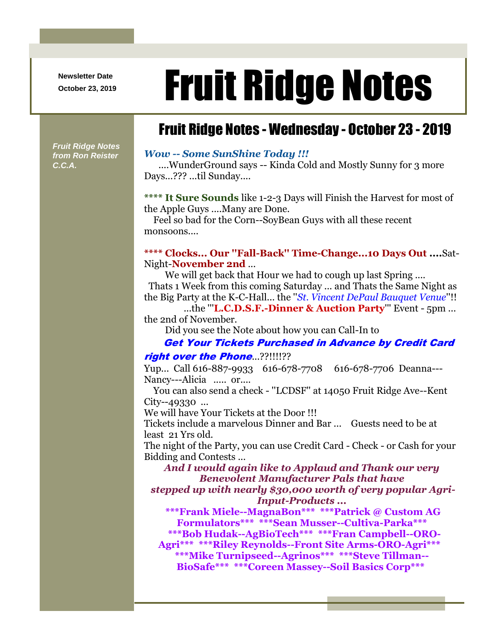**Newsletter Date**

# Newsletter Date **Fruit Ridge Notes**

# Fruit Ridge Notes - Wednesday - October 23 - 2019

*Fruit Ridge Notes from Ron Reister C.C.A.*

### *Wow -- Some SunShine Today !!!*

....WunderGround says -- Kinda Cold and Mostly Sunny for 3 more Days...??? ...til Sunday....

**\*\*\*\* It Sure Sounds** like 1-2-3 Days will Finish the Harvest for most of the Apple Guys ....Many are Done.

Feel so bad for the Corn--SoyBean Guys with all these recent monsoons....

# **\*\*\*\* Clocks... Our ''Fall-Back'' Time-Change...10 Days Out ....**Sat-Night-**November 2nd** ...

We will get back that Hour we had to cough up last Spring ....

 Thats 1 Week from this coming Saturday ... and Thats the Same Night as the Big Party at the K-C-Hall... the ''*St. Vincent DePaul Bauquet Venue*''!!

...the '''**L.C.D.S.F.-Dinner & Auction Party**''' Event - 5pm ... the 2nd of November.

Did you see the Note about how you can Call-In to

#### Get Your Tickets Purchased in Advance by Credit Card

#### right over the Phone...??!!!!??

Yup... Call 616-887-9933 616-678-7708 616-678-7706 Deanna--- Nancy---Alicia ..... or....

You can also send a check - ''LCDSF'' at 14050 Fruit Ridge Ave--Kent City--49330 ...

We will have Your Tickets at the Door !!!

Tickets include a marvelous Dinner and Bar ... Guests need to be at least 21 Yrs old.

The night of the Party, you can use Credit Card - Check - or Cash for your Bidding and Contests ...

### *And I would again like to Applaud and Thank our very Benevolent Manufacturer Pals that have*

*stepped up with nearly \$30,000 worth of very popular Agri-Input-Products ...*

**\*\*\*Frank Miele--MagnaBon\*\*\* \*\*\*Patrick @ Custom AG Formulators\*\*\* \*\*\*Sean Musser--Cultiva-Parka\*\*\***

**\*\*\*Bob Hudak--AgBioTech\*\*\* \*\*\*Fran Campbell--ORO-**

**Agri\*\*\* \*\*\*Riley Reynolds--Front Site Arms-ORO-Agri\*\*\* \*\*\*Mike Turnipseed--Agrinos\*\*\* \*\*\*Steve Tillman--**

**BioSafe\*\*\* \*\*\*Coreen Massey--Soil Basics Corp\*\*\***